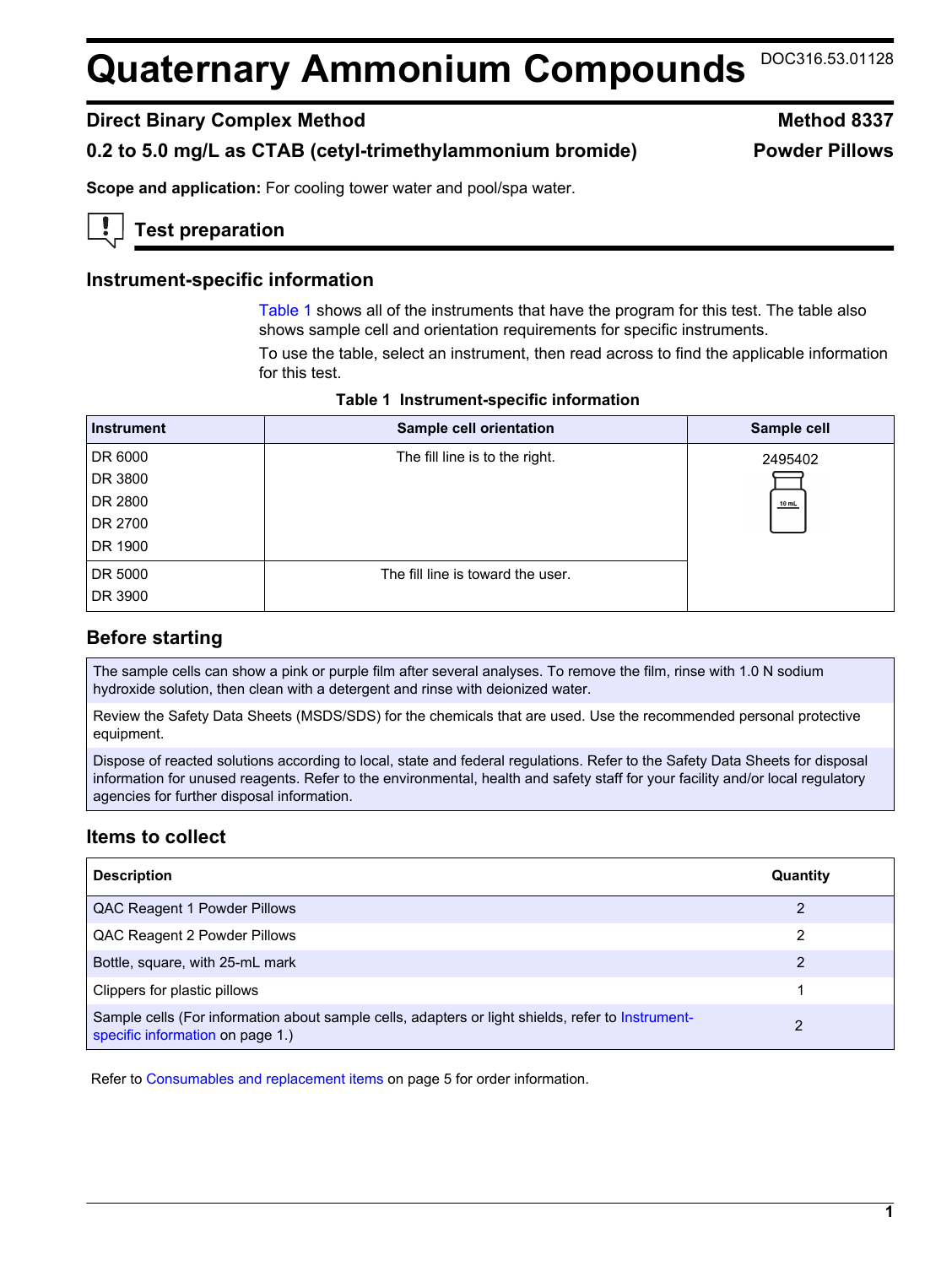# **Quaternary Ammonium Compounds** DOC316.53.01128

## **Direct Binary Complex Method Method 8337**

# **0.2 to 5.0 mg/L as CTAB (cetyl-trimethylammonium bromide) Powder Pillows**

**Scope and application:** For cooling tower water and pool/spa water.

# **Test preparation**

## **Instrument-specific information**

[Table 1](#page-0-0) shows all of the instruments that have the program for this test. The table also shows sample cell and orientation requirements for specific instruments.

To use the table, select an instrument, then read across to find the applicable information for this test.

<span id="page-0-1"></span><span id="page-0-0"></span>

| <b>Instrument</b> | Sample cell orientation           | Sample cell |
|-------------------|-----------------------------------|-------------|
| DR 6000           | The fill line is to the right.    | 2495402     |
| DR 3800           |                                   |             |
| DR 2800           |                                   | $10$ mL     |
| DR 2700           |                                   |             |
| DR 1900           |                                   |             |
| DR 5000           | The fill line is toward the user. |             |
| DR 3900           |                                   |             |

**Table 1 Instrument-specific information** 

# **Before starting**

The sample cells can show a pink or purple film after several analyses. To remove the film, rinse with 1.0 N sodium hydroxide solution, then clean with a detergent and rinse with deionized water.

Review the Safety Data Sheets (MSDS/SDS) for the chemicals that are used. Use the recommended personal protective equipment.

Dispose of reacted solutions according to local, state and federal regulations. Refer to the Safety Data Sheets for disposal information for unused reagents. Refer to the environmental, health and safety staff for your facility and/or local regulatory agencies for further disposal information.

# **Items to collect**

| <b>Description</b>                                                                                                                    | Quantity |
|---------------------------------------------------------------------------------------------------------------------------------------|----------|
| QAC Reagent 1 Powder Pillows                                                                                                          |          |
| QAC Reagent 2 Powder Pillows                                                                                                          | 2        |
| Bottle, square, with 25-mL mark                                                                                                       | 2        |
| Clippers for plastic pillows                                                                                                          |          |
| Sample cells (For information about sample cells, adapters or light shields, refer to Instrument-<br>specific information on page 1.) |          |

Refer to [Consumables and replacement items](#page-4-0) on page 5 for order information.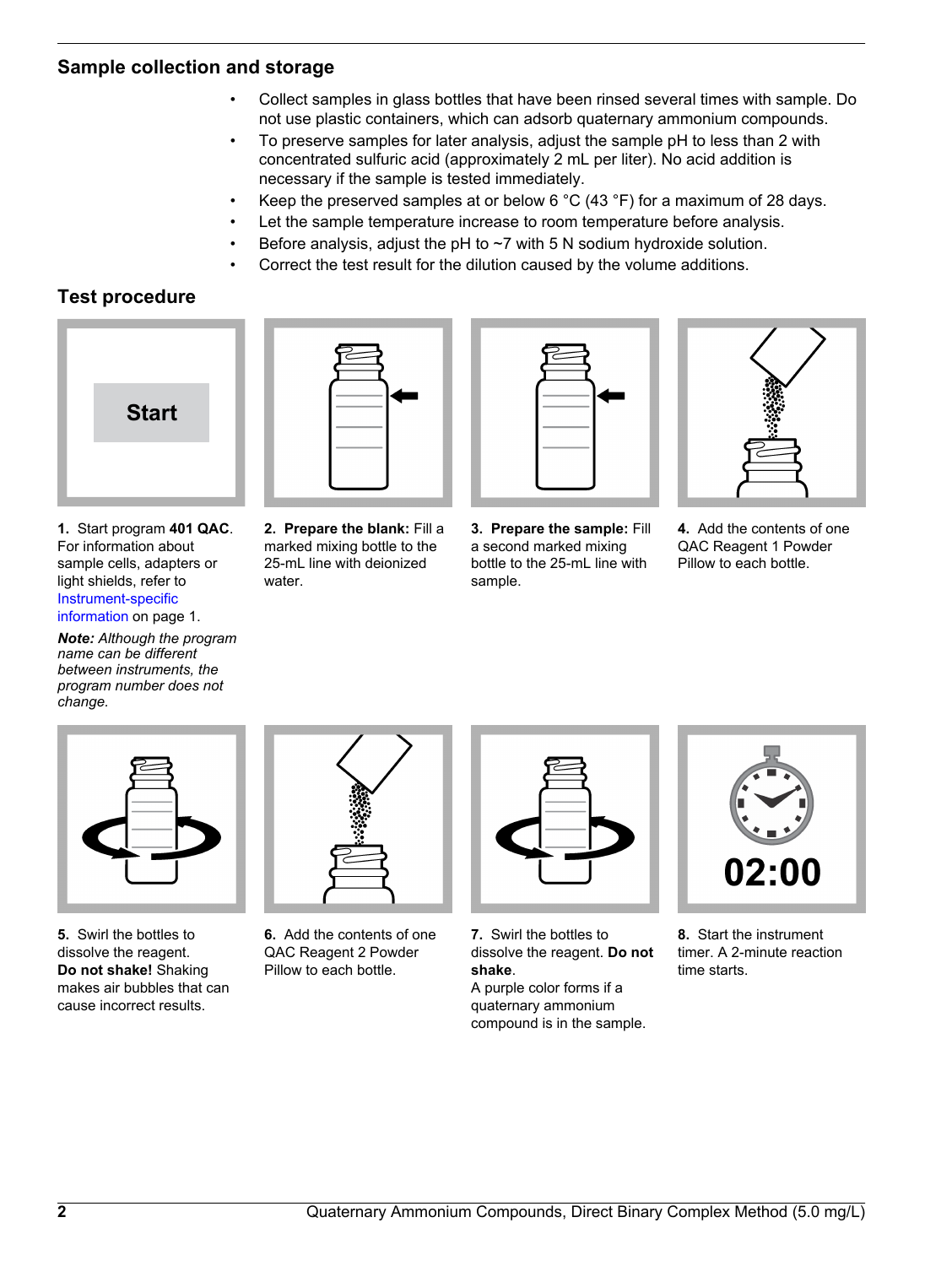# **Sample collection and storage**

- Collect samples in glass bottles that have been rinsed several times with sample. Do not use plastic containers, which can adsorb quaternary ammonium compounds.
- To preserve samples for later analysis, adjust the sample pH to less than 2 with concentrated sulfuric acid (approximately 2 mL per liter). No acid addition is necessary if the sample is tested immediately.
- Keep the preserved samples at or below 6 °C (43 °F) for a maximum of 28 days.
- Let the sample temperature increase to room temperature before analysis.
- Before analysis, adjust the pH to  $\sim$ 7 with 5 N sodium hydroxide solution.
- Correct the test result for the dilution caused by the volume additions.

# **Test procedure**



**1.** Start program **401 QAC**. For information about sample cells, adapters or light shields, refer to [Instrument-specific](#page-0-1) [information](#page-0-1) on page 1.

*Note: Although the program name can be different between instruments, the program number does not change.*



**2. Prepare the blank:** Fill a marked mixing bottle to the 25-mL line with deionized water.



**3. Prepare the sample:** Fill a second marked mixing bottle to the 25-mL line with sample.



**4.** Add the contents of one QAC Reagent 1 Powder Pillow to each bottle.



**5.** Swirl the bottles to dissolve the reagent. **Do not shake!** Shaking makes air bubbles that can cause incorrect results.



**6.** Add the contents of one QAC Reagent 2 Powder Pillow to each bottle.

|--|

**7.** Swirl the bottles to dissolve the reagent. **Do not shake**. A purple color forms if a quaternary ammonium compound is in the sample.



**8.** Start the instrument timer. A 2-minute reaction time starts.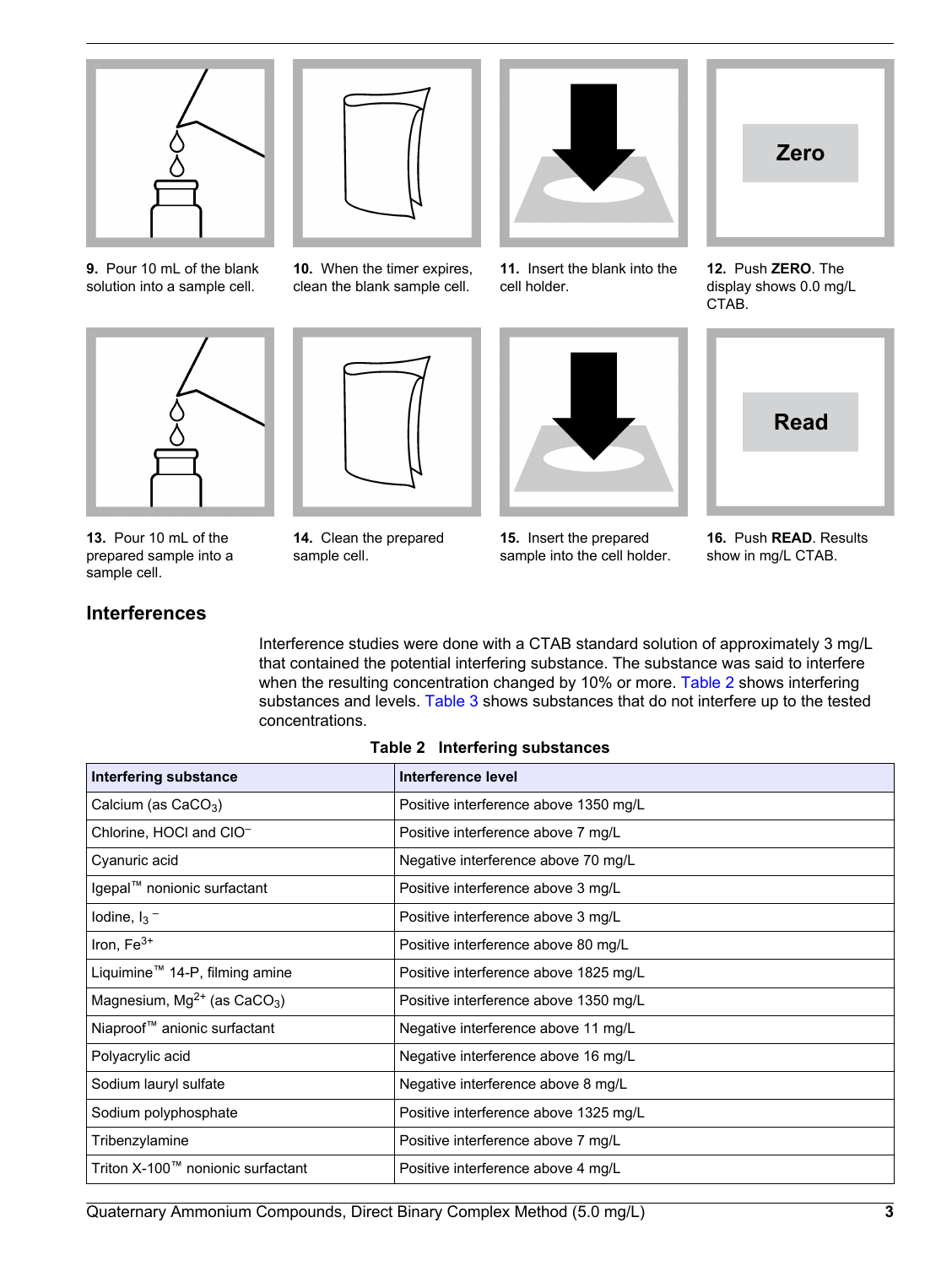

**9.** Pour 10 mL of the blank solution into a sample cell.

<span id="page-2-0"></span>

**13.** Pour 10 mL of the prepared sample into a sample cell.

# **Interferences**



**10.** When the timer expires, clean the blank sample cell.



**14.** Clean the prepared sample cell.



**11.** Insert the blank into the cell holder.



**15.** Insert the prepared sample into the cell holder.



**12.** Push **ZERO**. The display shows 0.0 mg/L CTAB.



**16.** Push **READ**. Results show in mg/L CTAB.

Interference studies were done with a CTAB standard solution of approximately 3 mg/L that contained the potential interfering substance. The substance was said to interfere when the resulting concentration changed by 10% or more. [Table 2](#page-2-0) shows interfering substances and levels. [Table 3](#page-3-0) shows substances that do not interfere up to the tested concentrations.

#### **Table 2 Interfering substances**

| <b>Interfering substance</b>                 | Interference level                    |
|----------------------------------------------|---------------------------------------|
| Calcium (as $CaCO3$ )                        | Positive interference above 1350 mg/L |
| Chlorine, HOCI and CIO-                      | Positive interference above 7 mg/L    |
| Cyanuric acid                                | Negative interference above 70 mg/L   |
| Igepal™ nonionic surfactant                  | Positive interference above 3 mg/L    |
| lodine, $I_3$ –                              | Positive interference above 3 mg/L    |
| Iron, $Fe3+$                                 | Positive interference above 80 mg/L   |
| Liquimine <sup>™</sup> 14-P, filming amine   | Positive interference above 1825 mg/L |
| Magnesium, $Mg^{2+}$ (as CaCO <sub>3</sub> ) | Positive interference above 1350 mg/L |
| Niaproof <sup>™</sup> anionic surfactant     | Negative interference above 11 mg/L   |
| Polyacrylic acid                             | Negative interference above 16 mg/L   |
| Sodium lauryl sulfate                        | Negative interference above 8 mg/L    |
| Sodium polyphosphate                         | Positive interference above 1325 mg/L |
| Tribenzylamine                               | Positive interference above 7 mg/L    |
| Triton X-100™ nonionic surfactant            | Positive interference above 4 mg/L    |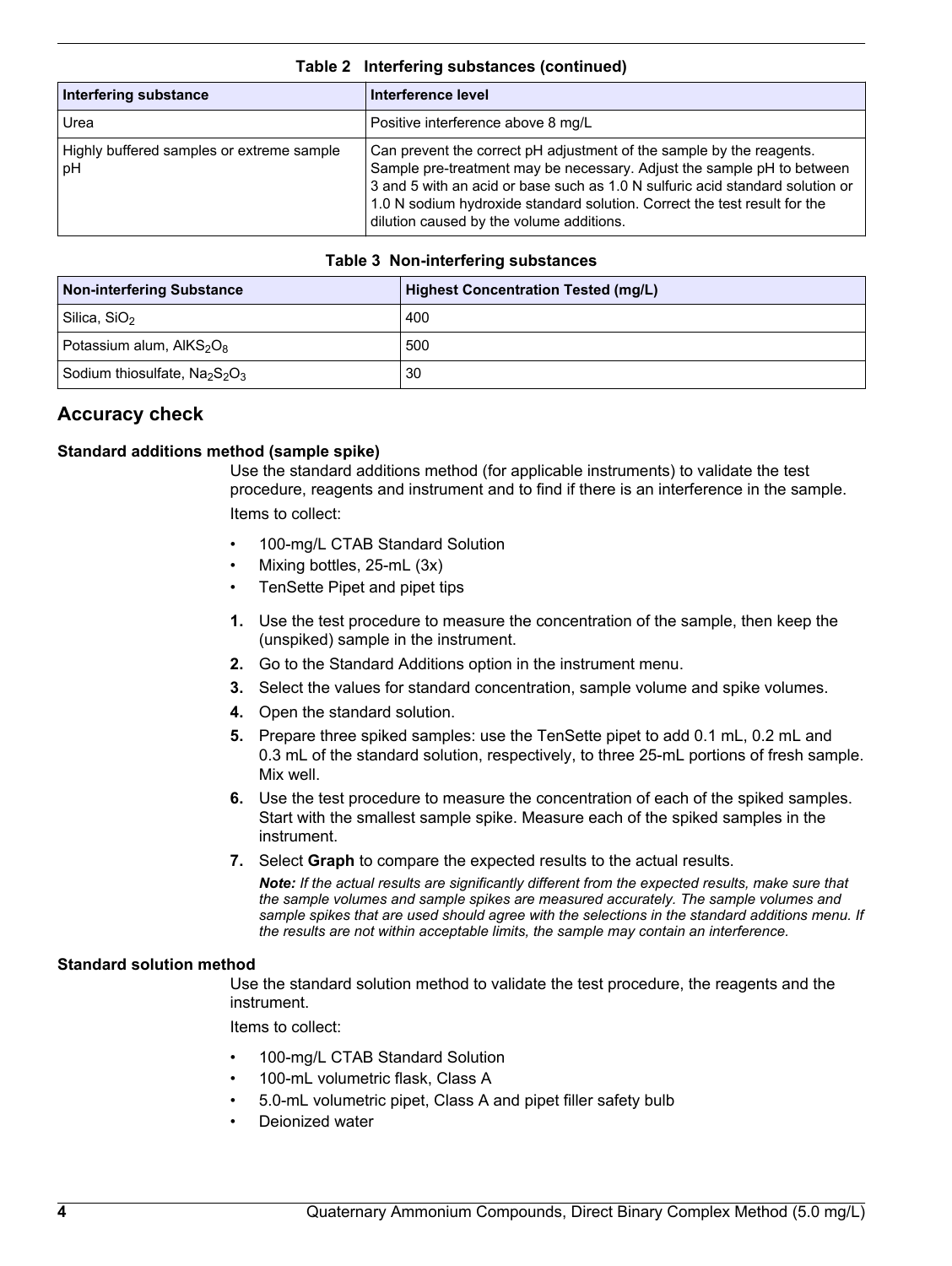| Interfering substance                           | Interference level                                                                                                                                                                                                                                                                                                                                       |  |  |
|-------------------------------------------------|----------------------------------------------------------------------------------------------------------------------------------------------------------------------------------------------------------------------------------------------------------------------------------------------------------------------------------------------------------|--|--|
| Urea                                            | Positive interference above 8 mg/L                                                                                                                                                                                                                                                                                                                       |  |  |
| Highly buffered samples or extreme sample<br>рH | Can prevent the correct pH adjustment of the sample by the reagents.<br>Sample pre-treatment may be necessary. Adjust the sample pH to between<br>3 and 5 with an acid or base such as 1.0 N sulfuric acid standard solution or<br>1.0 N sodium hydroxide standard solution. Correct the test result for the<br>dilution caused by the volume additions. |  |  |

#### **Table 2 Interfering substances (continued)**

#### **Table 3 Non-interfering substances**

<span id="page-3-0"></span>

| <b>Non-interfering Substance</b> | Highest Concentration Tested (mg/L) |
|----------------------------------|-------------------------------------|
| Silica, SiO <sub>2</sub>         | 400                                 |
| Potassium alum, $AIKS2O8$        | 500                                 |
| Sodium thiosulfate, $Na2S2O3$    | 30                                  |

# **Accuracy check**

## **Standard additions method (sample spike)**

Use the standard additions method (for applicable instruments) to validate the test procedure, reagents and instrument and to find if there is an interference in the sample. Items to collect:

- 100-mg/L CTAB Standard Solution
- Mixing bottles, 25-mL (3x)
- TenSette Pipet and pipet tips
- **1.** Use the test procedure to measure the concentration of the sample, then keep the (unspiked) sample in the instrument.
- **2.** Go to the Standard Additions option in the instrument menu.
- **3.** Select the values for standard concentration, sample volume and spike volumes.
- **4.** Open the standard solution.
- **5.** Prepare three spiked samples: use the TenSette pipet to add 0.1 mL, 0.2 mL and 0.3 mL of the standard solution, respectively, to three 25-mL portions of fresh sample. Mix well.
- **6.** Use the test procedure to measure the concentration of each of the spiked samples. Start with the smallest sample spike. Measure each of the spiked samples in the instrument.
- **7.** Select **Graph** to compare the expected results to the actual results.

*Note: If the actual results are significantly different from the expected results, make sure that the sample volumes and sample spikes are measured accurately. The sample volumes and sample spikes that are used should agree with the selections in the standard additions menu. If the results are not within acceptable limits, the sample may contain an interference.*

#### **Standard solution method**

Use the standard solution method to validate the test procedure, the reagents and the instrument.

Items to collect:

- 100-mg/L CTAB Standard Solution
- 100-mL volumetric flask, Class A
- 5.0-mL volumetric pipet, Class A and pipet filler safety bulb
- Deionized water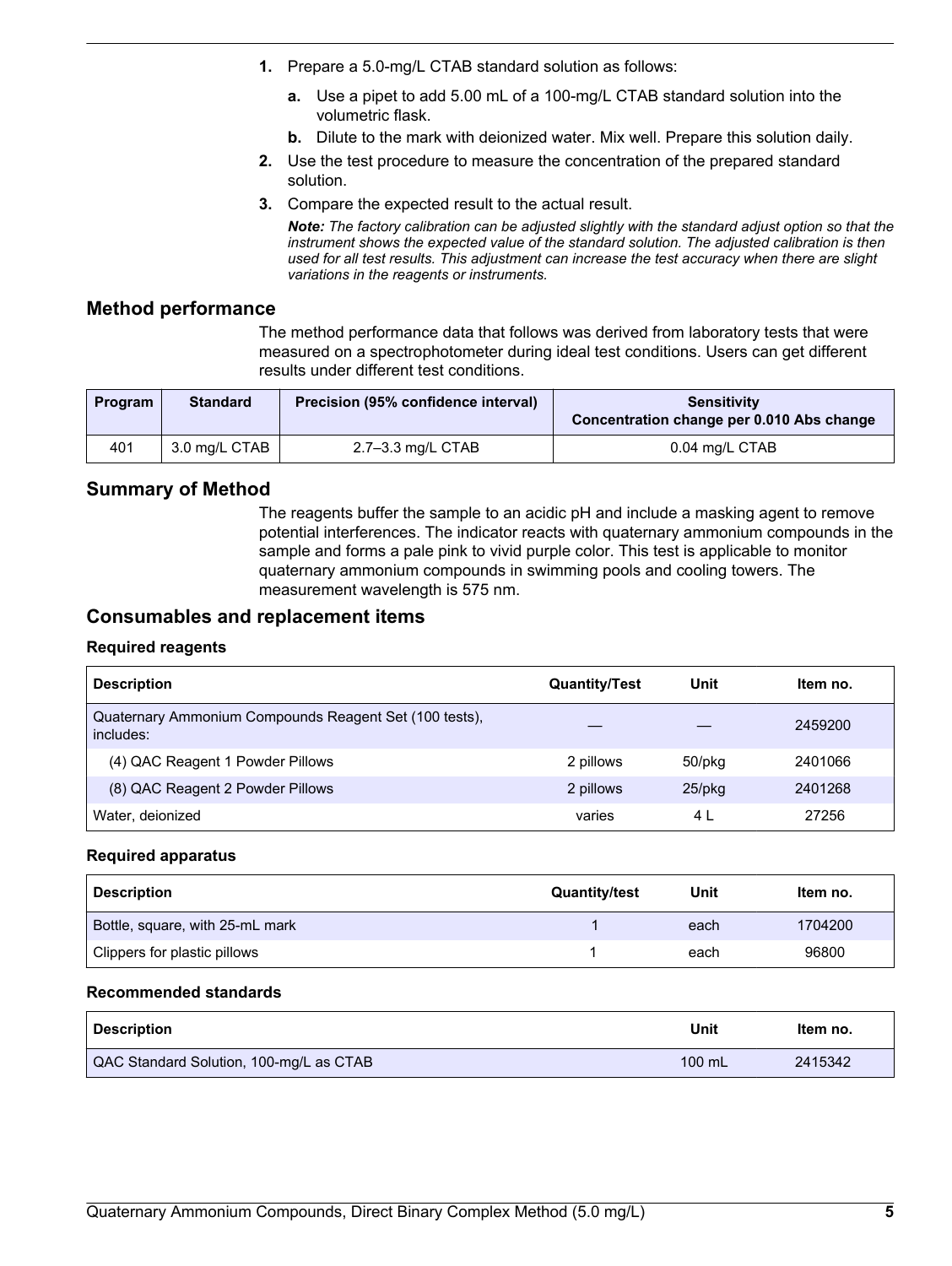- **1.** Prepare a 5.0-mg/L CTAB standard solution as follows:
	- **a.** Use a pipet to add 5.00 mL of a 100-mg/L CTAB standard solution into the volumetric flask.
	- **b.** Dilute to the mark with deionized water. Mix well. Prepare this solution daily.
- **2.** Use the test procedure to measure the concentration of the prepared standard solution.
- **3.** Compare the expected result to the actual result.

*Note: The factory calibration can be adjusted slightly with the standard adjust option so that the instrument shows the expected value of the standard solution. The adjusted calibration is then used for all test results. This adjustment can increase the test accuracy when there are slight variations in the reagents or instruments.*

## **Method performance**

The method performance data that follows was derived from laboratory tests that were measured on a spectrophotometer during ideal test conditions. Users can get different results under different test conditions.

| Program | <b>Standard</b> | Precision (95% confidence interval) | <b>Sensitivity</b><br>Concentration change per 0.010 Abs change |
|---------|-----------------|-------------------------------------|-----------------------------------------------------------------|
| 401     | 3.0 mg/L CTAB   | 2.7–3.3 mg/L CTAB                   | 0.04 mg/L CTAB                                                  |

## **Summary of Method**

The reagents buffer the sample to an acidic pH and include a masking agent to remove potential interferences. The indicator reacts with quaternary ammonium compounds in the sample and forms a pale pink to vivid purple color. This test is applicable to monitor quaternary ammonium compounds in swimming pools and cooling towers. The measurement wavelength is 575 nm.

## **Consumables and replacement items**

## **Required reagents**

<span id="page-4-0"></span>

| <b>Description</b>                                                  | <b>Quantity/Test</b> | Unit      | Item no. |
|---------------------------------------------------------------------|----------------------|-----------|----------|
| Quaternary Ammonium Compounds Reagent Set (100 tests),<br>includes: |                      |           | 2459200  |
| (4) QAC Reagent 1 Powder Pillows                                    | 2 pillows            | 50/pkg    | 2401066  |
| (8) QAC Reagent 2 Powder Pillows                                    | 2 pillows            | $25$ /pkq | 2401268  |
| Water, deionized                                                    | varies               | 4 L       | 27256    |

#### **Required apparatus**

| <b>Description</b>              | <b>Quantity/test</b> | Unit | Item no. |
|---------------------------------|----------------------|------|----------|
| Bottle, square, with 25-mL mark |                      | each | 1704200  |
| Clippers for plastic pillows    |                      | each | 96800    |

## **Recommended standards**

| <b>Description</b>                      | Unit     | Item no. |
|-----------------------------------------|----------|----------|
| QAC Standard Solution, 100-mg/L as CTAB | $100$ mL | 2415342  |